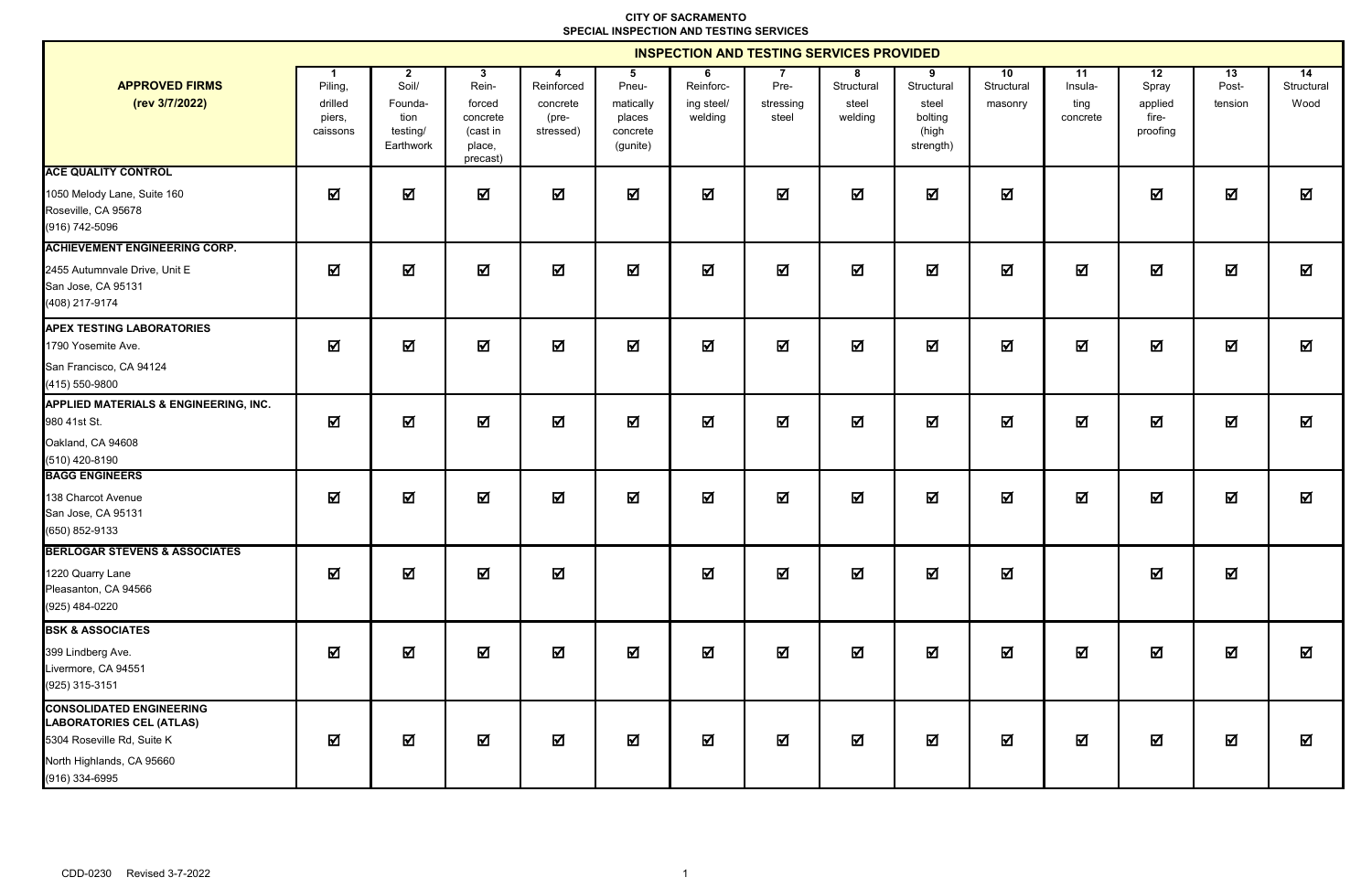|                                                                                                                                                 | <b>INSPECTION AND TESTING SERVICES PROVIDED</b> |                                                                   |                                                                    |                                                   |                                                           |                                         |                            |                                     |                                                           |                             |                                   |                                             |                         |                                       |
|-------------------------------------------------------------------------------------------------------------------------------------------------|-------------------------------------------------|-------------------------------------------------------------------|--------------------------------------------------------------------|---------------------------------------------------|-----------------------------------------------------------|-----------------------------------------|----------------------------|-------------------------------------|-----------------------------------------------------------|-----------------------------|-----------------------------------|---------------------------------------------|-------------------------|---------------------------------------|
| <b>APPROVED FIRMS</b><br>(rev 3/7/2022)                                                                                                         | Piling,<br>drilled<br>piers,<br>caissons        | $\mathbf{2}$<br>Soil/<br>Founda-<br>tion<br>testing/<br>Earthwork | 3<br>Rein-<br>forced<br>concrete<br>(cast in<br>place,<br>precast) | 4<br>Reinforced<br>concrete<br>(pre-<br>stressed) | 5<br>Pneu-<br>matically<br>places<br>concrete<br>(gunite) | 6<br>Reinforc-<br>ing steel/<br>welding | Pre-<br>stressing<br>steel | 8<br>Structural<br>steel<br>welding | 9<br>Structural<br>steel<br>bolting<br>(high<br>strength) | 10<br>Structural<br>masonry | 11<br>Insula-<br>ting<br>concrete | 12<br>Spray<br>applied<br>fire-<br>proofing | 13<br>Post-<br>tension  | $\overline{14}$<br>Structural<br>Wood |
| <b>ACE QUALITY CONTROL</b><br>1050 Melody Lane, Suite 160<br>Roseville, CA 95678<br>(916) 742-5096                                              | 冈                                               | ☑                                                                 | ☑                                                                  | ☑                                                 | ☑                                                         | ☑                                       | ☑                          | 冈                                   | ☑                                                         | 冈                           |                                   | 冈                                           | ☑                       | ☑                                     |
| <b>ACHIEVEMENT ENGINEERING CORP.</b><br>2455 Autumnvale Drive, Unit E<br>San Jose, CA 95131<br>(408) 217-9174                                   | 冈                                               | 冈                                                                 | $\overline{\mathbf{M}}$                                            | ☑                                                 | ☑                                                         | ☑                                       | $\Delta$                   | ☑                                   | 冈                                                         | 冈                           | 冈                                 | 冈                                           | 冈                       | ☑                                     |
| <b>APEX TESTING LABORATORIES</b><br>1790 Yosemite Ave.<br>San Francisco, CA 94124<br>(415) 550-9800                                             | 冈                                               | ☑                                                                 | ☑                                                                  | ☑                                                 | ☑                                                         | ☑                                       | $\overline{\mathbf{M}}$    | 冈                                   | 冈                                                         | 冈                           | 冈                                 | ☑                                           | ☑                       | 冈                                     |
| <b>APPLIED MATERIALS &amp; ENGINEERING, INC.</b><br>980 41st St.<br>Oakland, CA 94608<br>(510) 420-8190                                         | $\boldsymbol{\nabla}$                           | $\overline{\mathbf{M}}$                                           | 冈                                                                  | ☑                                                 | ☑                                                         | $\overline{\mathbf{M}}$                 | $\Delta$                   | 冈                                   | $\overline{\mathbf{M}}$                                   | 冈                           | <b>M</b>                          | $\blacksquare$                              | $\mathbf \Xi$           | 冈                                     |
| <b>BAGG ENGINEERS</b><br>138 Charcot Avenue<br>San Jose, CA 95131<br>(650) 852-9133                                                             | 冈                                               | ☑                                                                 | ☑                                                                  | ☑                                                 | ☑                                                         | ☑                                       | $\overline{\mathbf{M}}$    | 冈                                   | 冈                                                         | 冈                           | 冈                                 | 冈                                           | N                       | ☑                                     |
| <b>BERLOGAR STEVENS &amp; ASSOCIATES</b><br>1220 Quarry Lane<br>Pleasanton, CA 94566<br>(925) 484-0220                                          | $\boldsymbol{\nabla}$                           | $\overline{\mathbf{M}}$                                           | ☑                                                                  | ☑                                                 |                                                           | ☑                                       | $\overline{\mathbf{M}}$    | ☑                                   | ☑                                                         | M                           |                                   | $\blacksquare$                              | $\overline{\mathbf{M}}$ |                                       |
| <b>BSK &amp; ASSOCIATES</b><br>399 Lindberg Ave.<br>Livermore, CA 94551<br>(925) 315-3151                                                       | $\overline{\mathbf{M}}$                         | ☑                                                                 | ☑                                                                  | $\Delta$                                          | $\blacksquare$                                            | $\blacksquare$                          | $\overline{\mathbf{M}}$    | ☑                                   | ☑                                                         | 冈                           | $\blacksquare$                    | $\overline{\mathbf{M}}$                     | $\overline{\mathbf{M}}$ | $\overline{\mathbf{M}}$               |
| <b>CONSOLIDATED ENGINEERING</b><br><b>LABORATORIES CEL (ATLAS)</b><br>5304 Roseville Rd, Suite K<br>North Highlands, CA 95660<br>(916) 334-6995 | 冈                                               | 冈                                                                 | ☑                                                                  | 冈                                                 | ☑                                                         | ☑                                       | ☑                          | 冈                                   | 冈                                                         | 冈                           | 冈                                 | 冈                                           | M                       | 冈                                     |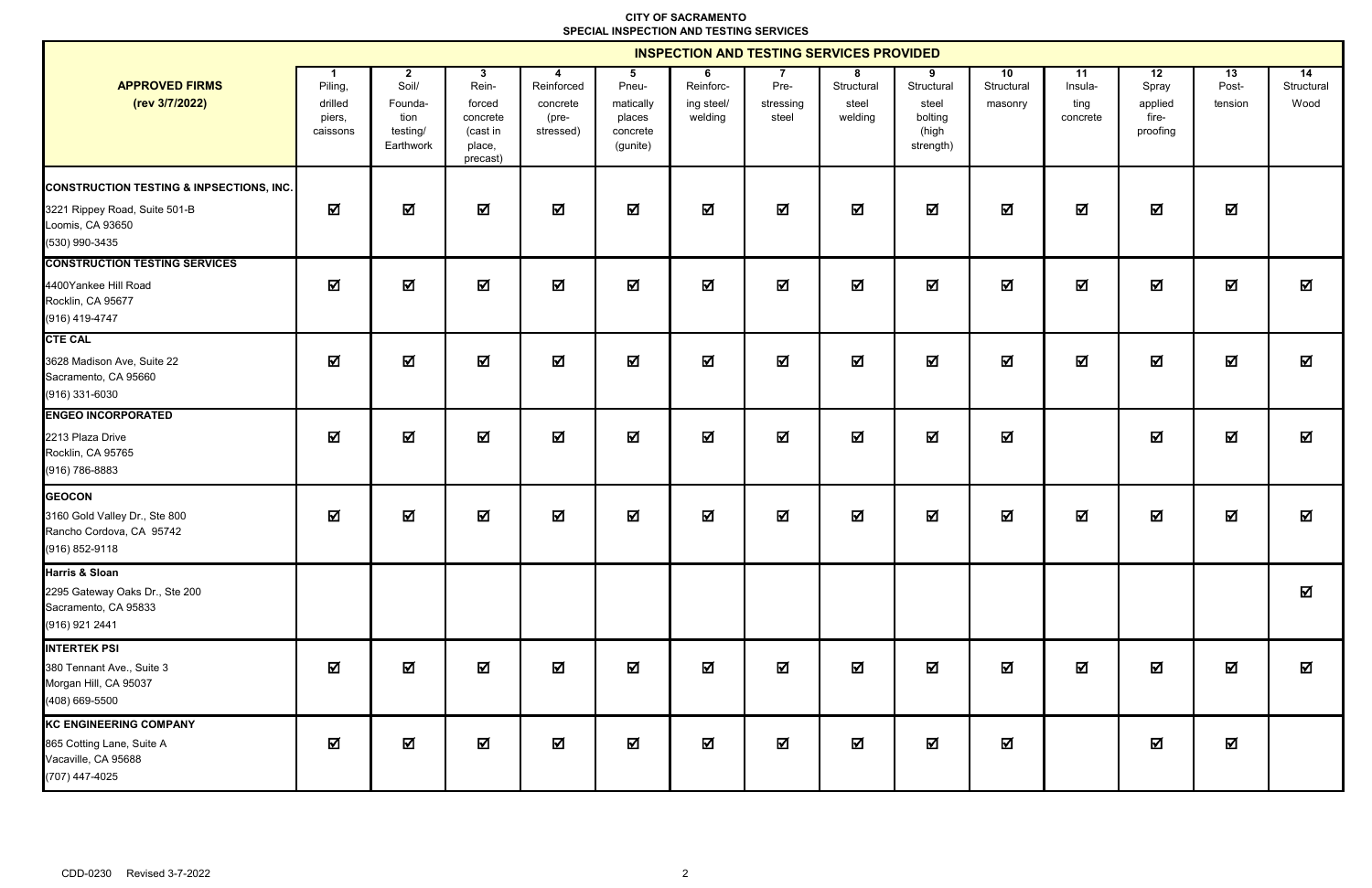|                                                                                                                            | <b>INSPECTION AND TESTING SERVICES PROVIDED</b> |                                                                   |                                                                                  |                                                   |                                                           |                                         |                            |                                     |                                                           |                             |                                   |                                             |                         |                                       |
|----------------------------------------------------------------------------------------------------------------------------|-------------------------------------------------|-------------------------------------------------------------------|----------------------------------------------------------------------------------|---------------------------------------------------|-----------------------------------------------------------|-----------------------------------------|----------------------------|-------------------------------------|-----------------------------------------------------------|-----------------------------|-----------------------------------|---------------------------------------------|-------------------------|---------------------------------------|
| <b>APPROVED FIRMS</b><br>(rev 3/7/2022)                                                                                    | Piling,<br>drilled<br>piers,<br>caissons        | $\mathbf{2}$<br>Soil/<br>Founda-<br>tion<br>testing/<br>Earthwork | $3\overline{ }$<br>Rein-<br>forced<br>concrete<br>(cast in<br>place,<br>precast) | 4<br>Reinforced<br>concrete<br>(pre-<br>stressed) | 5<br>Pneu-<br>matically<br>places<br>concrete<br>(gunite) | 6<br>Reinforc-<br>ing steel/<br>welding | Pre-<br>stressing<br>steel | 8<br>Structural<br>steel<br>welding | 9<br>Structural<br>steel<br>bolting<br>(high<br>strength) | 10<br>Structural<br>masonry | 11<br>Insula-<br>ting<br>concrete | 12<br>Spray<br>applied<br>fire-<br>proofing | 13<br>Post-<br>tension  | $\overline{14}$<br>Structural<br>Wood |
| <b>CONSTRUCTION TESTING &amp; INPSECTIONS, INC.</b><br>3221 Rippey Road, Suite 501-B<br>Loomis, CA 93650<br>(530) 990-3435 | ☑                                               | ☑                                                                 | ☑                                                                                | ☑                                                 | ☑                                                         | ☑                                       | ☑                          | ☑                                   | ☑                                                         | 冈                           | $\overline{\mathbf{M}}$           | $\overline{\mathbf{M}}$                     | ☑                       |                                       |
| <b>CONSTRUCTION TESTING SERVICES</b><br>4400Yankee Hill Road<br>Rocklin, CA 95677<br>(916) 419-4747                        | ☑                                               | $\overline{\mathbf{M}}$                                           | $\overline{\mathbf{M}}$                                                          | 冈                                                 | 冈                                                         | $\overline{\mathbf{M}}$                 | ☑                          | 冈                                   | 冈                                                         | 冈                           | $\overline{\mathbf{M}}$           | $\overline{\mathbf{M}}$                     | 冈                       | 冈                                     |
| <b>CTE CAL</b><br>3628 Madison Ave, Suite 22<br>Sacramento, CA 95660<br>(916) 331-6030                                     | 冈                                               | ☑                                                                 | $\overline{\mathbf{z}}$                                                          | $\overline{\mathbf{M}}$                           | ☑                                                         | $\overline{\mathbf{M}}$                 | $\overline{\mathbf{M}}$    | ☑                                   | $\overline{\mathbf{M}}$                                   | $\overline{\mathbf{M}}$     | $\overline{\mathbf{M}}$           | $\overline{\mathbf{M}}$                     | $\overline{\mathbf{M}}$ | 冈                                     |
| <b>ENGEO INCORPORATED</b><br>2213 Plaza Drive<br>Rocklin, CA 95765<br>(916) 786-8883                                       | 冈                                               | 冈                                                                 | 冈                                                                                | 冈                                                 | 冈                                                         | $\overline{\mathbf{M}}$                 | ☑                          | ☑                                   | 冈                                                         | $\overline{\mathbf{M}}$     |                                   | 冈                                           | 冈                       | ☑                                     |
| <b>GEOCON</b><br>3160 Gold Valley Dr., Ste 800<br>Rancho Cordova, CA 95742<br>(916) 852-9118                               | 冈                                               | 冈                                                                 | 冈                                                                                | $\overline{\mathbf{M}}$                           | ☑                                                         | $\Delta$                                | $\boxtimes$                | ☑                                   | ☑                                                         | 冈                           | $\overline{\mathbf{M}}$           | $\blacksquare$                              | 冈                       | 冈                                     |
| Harris & Sloan<br>2295 Gateway Oaks Dr., Ste 200<br>Sacramento, CA 95833<br>(916) 921 2441                                 |                                                 |                                                                   |                                                                                  |                                                   |                                                           |                                         |                            |                                     |                                                           |                             |                                   |                                             |                         | 冈                                     |
| <b>INTERTEK PSI</b><br>380 Tennant Ave., Suite 3<br>Morgan Hill, CA 95037<br>(408) 669-5500                                | $\overline{\mathbf{M}}$                         | $\overline{\mathbf{M}}$                                           | ☑                                                                                | $\boxtimes$                                       | ☑                                                         | ☑                                       | $\blacksquare$             | ☑                                   | ☑                                                         | M                           | M                                 | M                                           | $\blacksquare$          | 冈                                     |
| <b>KC ENGINEERING COMPANY</b><br>865 Cotting Lane, Suite A<br>Vacaville, CA 95688<br>(707) 447-4025                        | 冈                                               | 冈                                                                 | $\Delta$                                                                         | $\boxtimes$                                       | ☑                                                         | $\overline{\mathbf{M}}$                 | $\overline{\mathbf{M}}$    | $\overline{\mathbf{M}}$             | 冈                                                         | $\overline{\mathbf{M}}$     |                                   | 冈                                           | $\overline{\mathbf{M}}$ |                                       |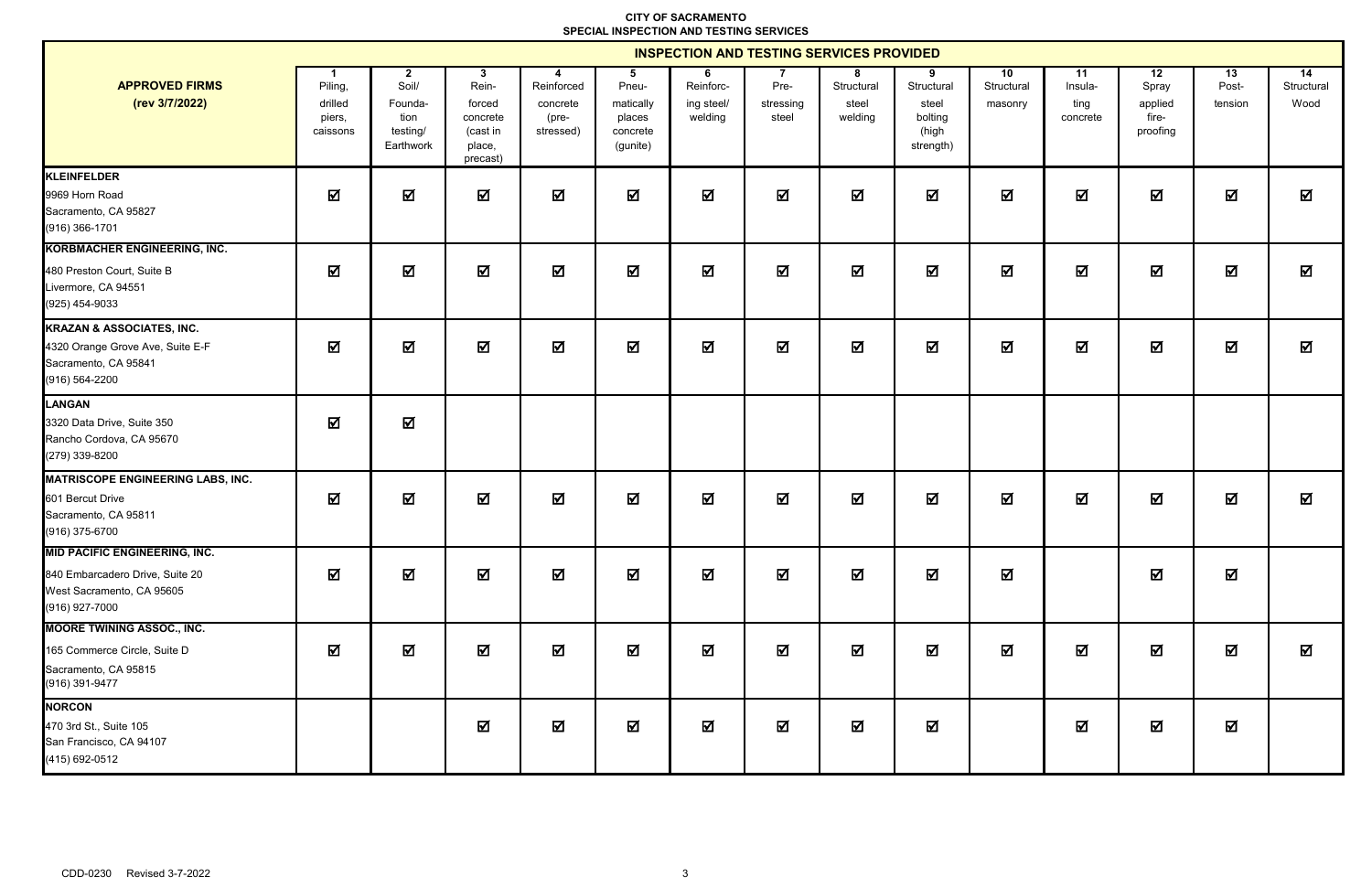|                                                                                                                        | <b>INSPECTION AND TESTING SERVICES PROVIDED</b> |                                                                   |                                                                    |                                              |                                                           |                                         |                            |                                     |                                                           |                             |                                   |                                             |                         |                                       |
|------------------------------------------------------------------------------------------------------------------------|-------------------------------------------------|-------------------------------------------------------------------|--------------------------------------------------------------------|----------------------------------------------|-----------------------------------------------------------|-----------------------------------------|----------------------------|-------------------------------------|-----------------------------------------------------------|-----------------------------|-----------------------------------|---------------------------------------------|-------------------------|---------------------------------------|
| <b>APPROVED FIRMS</b><br>(rev 3/7/2022)                                                                                | Piling,<br>drilled<br>piers,<br>caissons        | $\mathbf{2}$<br>Soil/<br>Founda-<br>tion<br>testing/<br>Earthwork | 3<br>Rein-<br>forced<br>concrete<br>(cast in<br>place,<br>precast) | Reinforced<br>concrete<br>(pre-<br>stressed) | 5<br>Pneu-<br>matically<br>places<br>concrete<br>(gunite) | 6<br>Reinforc-<br>ing steel/<br>welding | Pre-<br>stressing<br>steel | 8<br>Structural<br>steel<br>welding | 9<br>Structural<br>steel<br>bolting<br>(high<br>strength) | 10<br>Structural<br>masonry | 11<br>Insula-<br>ting<br>concrete | 12<br>Spray<br>applied<br>fire-<br>proofing | 13<br>Post-<br>tension  | $\overline{14}$<br>Structural<br>Wood |
| KLEINFELDER<br>9969 Horn Road<br>Sacramento, CA 95827<br>(916) 366-1701                                                | ☑                                               | 冈                                                                 | 冈                                                                  | 冈                                            | ☑                                                         | $\overline{\mathbf{M}}$                 | $\overline{\mathbf{M}}$    | 冈                                   | Ŋ                                                         | $\overline{\mathbf{M}}$     | $\overline{\mathbf{M}}$           | M                                           | $\overline{\mathbf{M}}$ | 冈                                     |
| <b>KORBMACHER ENGINEERING, INC.</b><br>480 Preston Court, Suite B<br>Livermore, CA 94551<br>$(925)$ 454-9033           | 冈                                               | 冈                                                                 | ☑                                                                  | ☑                                            | ☑                                                         | $\overline{\mathbf{M}}$                 | ☑                          | 冈                                   | 冈                                                         | 冈                           | ☑                                 | ☑                                           | 冈                       | ☑                                     |
| <b>KRAZAN &amp; ASSOCIATES, INC.</b><br>4320 Orange Grove Ave, Suite E-F<br>Sacramento, CA 95841<br>(916) 564-2200     | 冈                                               | $\overline{\mathbf{M}}$                                           | $\overline{\mathbf{M}}$                                            | $\overline{\mathbf{M}}$                      | $\overline{\mathbf{M}}$                                   | $\overline{\mathbf{M}}$                 | $\overline{\mathbf{M}}$    | 冈                                   | $\overline{\mathbf{M}}$                                   | $\overline{\mathbf{M}}$     | $\overline{\mathbf{M}}$           | ☑                                           | $\overline{\mathbf{M}}$ | 冈                                     |
| <b>LANGAN</b><br>3320 Data Drive, Suite 350<br>Rancho Cordova, CA 95670<br>(279) 339-8200                              | 冈                                               | 冈                                                                 |                                                                    |                                              |                                                           |                                         |                            |                                     |                                                           |                             |                                   |                                             |                         |                                       |
| MATRISCOPE ENGINEERING LABS, INC.<br>601 Bercut Drive<br>Sacramento, CA 95811<br>(916) 375-6700                        | 冈                                               | 冈                                                                 | 冈                                                                  | ☑                                            | ☑                                                         | ☑                                       | $\overline{\mathbf{M}}$    | ☑                                   | 冈                                                         | 冈                           | 冈                                 | 冈                                           | 冈                       | 冈                                     |
| <b>MID PACIFIC ENGINEERING, INC.</b><br>840 Embarcadero Drive, Suite 20<br>West Sacramento, CA 95605<br>(916) 927-7000 | 冈                                               | ☑                                                                 | ☑                                                                  | ☑                                            | ☑                                                         | ☑                                       | $\overline{\mathbf{M}}$    | 冈                                   | 冈                                                         | ☑                           |                                   | 冈                                           | 冈                       |                                       |
| <b>MOORE TWINING ASSOC., INC.</b><br>165 Commerce Circle, Suite D<br>Sacramento, CA 95815<br>(916) 391-9477            | 冈                                               | $\overline{\mathbf{M}}$                                           | $\overline{\mathbf{M}}$                                            | ☑                                            | ☑                                                         | $\overline{\mathbf{M}}$                 | $\overline{\mathbf{M}}$    | ☑                                   | 冈                                                         | 冈                           | $\overline{\mathbf{M}}$           | 冈                                           | $\overline{\mathbf{M}}$ | 冈                                     |
| <b>NORCON</b><br>470 3rd St., Suite 105<br>San Francisco, CA 94107<br>(415) 692-0512                                   |                                                 |                                                                   | ☑                                                                  | ☑                                            | ☑                                                         | $\boxtimes$                             | ☑                          | ☑                                   | 冈                                                         |                             | 冈                                 | ☑                                           | $\overline{\mathbf{M}}$ |                                       |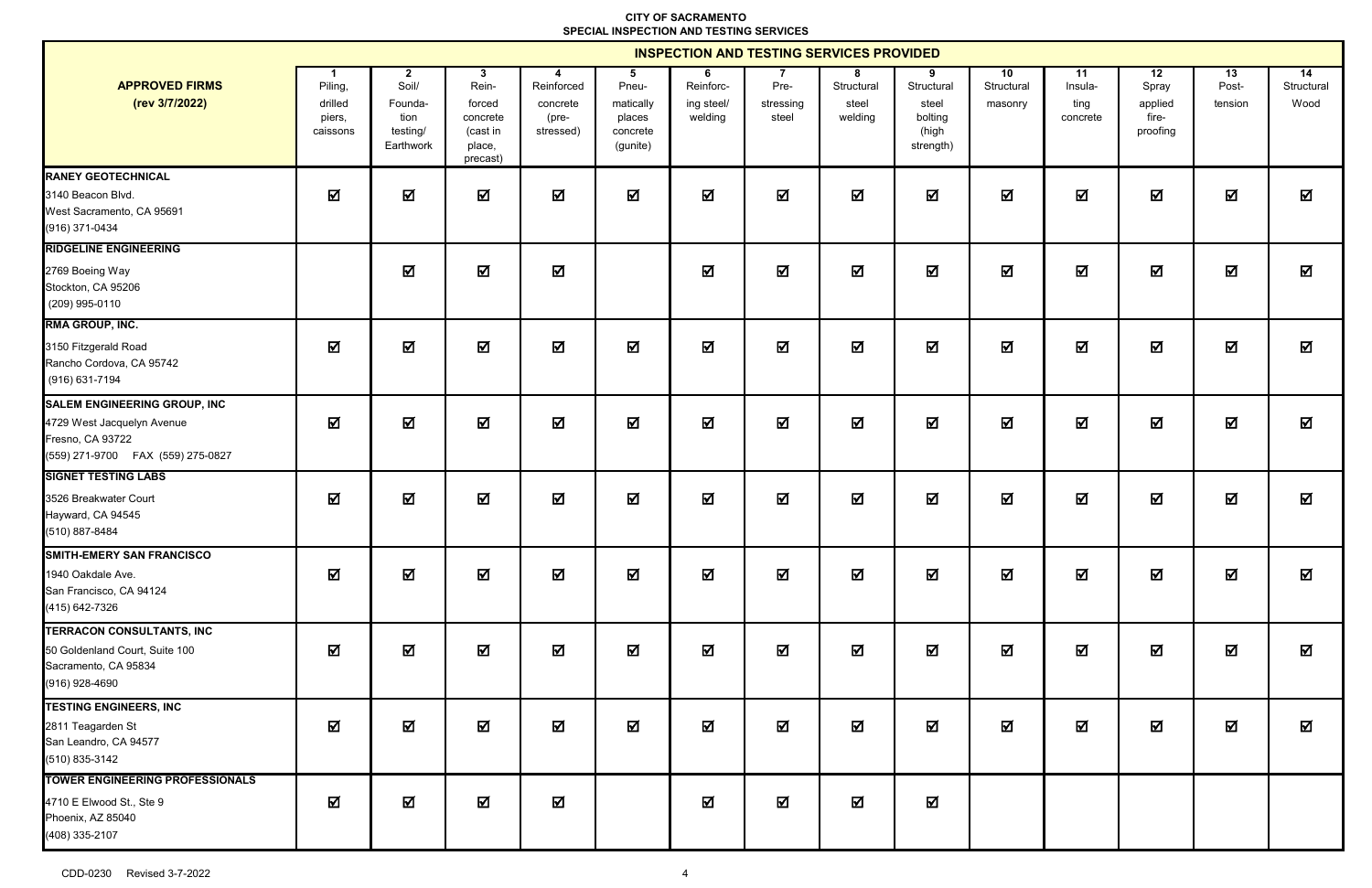|                                                                                                                             | <b>INSPECTION AND TESTING SERVICES PROVIDED</b> |                                                                   |                                                                    |                                                    |                                                           |                                         |                            |                                     |                                                           |                             |                                   |                                             |                         |                                       |
|-----------------------------------------------------------------------------------------------------------------------------|-------------------------------------------------|-------------------------------------------------------------------|--------------------------------------------------------------------|----------------------------------------------------|-----------------------------------------------------------|-----------------------------------------|----------------------------|-------------------------------------|-----------------------------------------------------------|-----------------------------|-----------------------------------|---------------------------------------------|-------------------------|---------------------------------------|
| <b>APPROVED FIRMS</b><br>(rev 3/7/2022)                                                                                     | Piling,<br>drilled<br>piers,<br>caissons        | $\mathbf{2}$<br>Soil/<br>Founda-<br>tion<br>testing/<br>Earthwork | 3<br>Rein-<br>forced<br>concrete<br>(cast in<br>place,<br>precast) | -4<br>Reinforced<br>concrete<br>(pre-<br>stressed) | 5<br>Pneu-<br>matically<br>places<br>concrete<br>(gunite) | 6<br>Reinforc-<br>ing steel/<br>welding | Pre-<br>stressing<br>steel | 8<br>Structural<br>steel<br>welding | 9<br>Structural<br>steel<br>bolting<br>(high<br>strength) | 10<br>Structural<br>masonry | 11<br>Insula-<br>ting<br>concrete | 12<br>Spray<br>applied<br>fire-<br>proofing | 13<br>Post-<br>tension  | $\overline{14}$<br>Structural<br>Wood |
| <b>RANEY GEOTECHNICAL</b><br>3140 Beacon Blvd.<br>West Sacramento, CA 95691<br>(916) 371-0434                               | 冈                                               | 冈                                                                 | 冈                                                                  | $\overline{\mathbf{M}}$                            | ☑                                                         | $\overline{\mathbf{M}}$                 | $\overline{\mathbf{M}}$    | $\overline{\mathbf{M}}$             | 冈                                                         | $\overline{\mathbf{M}}$     | $\overline{\mathbf{M}}$           | $\overline{\mathbf{M}}$                     | 冈                       | ☑                                     |
| <b>RIDGELINE ENGINEERING</b><br>2769 Boeing Way<br>Stockton, CA 95206<br>(209) 995-0110                                     |                                                 | 冈                                                                 | ☑                                                                  | ☑                                                  |                                                           | $\boxtimes$                             | $\overline{\mathbf{M}}$    | ☑                                   | ☑                                                         | $\overline{\mathbf{M}}$     | 冈                                 | 冈                                           | ☑                       | 冈                                     |
| <b>RMA GROUP, INC.</b><br>3150 Fitzgerald Road<br>Rancho Cordova, CA 95742<br>(916) 631-7194                                | 冈                                               | $\overline{\mathbf{M}}$                                           | $\overline{\mathbf{M}}$                                            | $\overline{\mathbf{M}}$                            | $\overline{\mathbf{M}}$                                   | $\overline{\mathbf{M}}$                 | $\overline{\mathbf{M}}$    | $\overline{\mathbf{M}}$             | 冈                                                         | $\overline{\mathbf{M}}$     | $\overline{\mathbf{M}}$           | 冈                                           | $\overline{\mathbf{M}}$ | ☑                                     |
| <b>SALEM ENGINEERING GROUP, INC</b><br>4729 West Jacquelyn Avenue<br>Fresno, CA 93722<br>(559) 271-9700  FAX (559) 275-0827 | ☑                                               | ☑                                                                 | ☑                                                                  | ☑                                                  | ☑                                                         | ☑                                       | ☑                          | ☑                                   | 冈                                                         | ☑                           | 冈                                 | 冈                                           | 冈                       | ☑                                     |
| <b>SIGNET TESTING LABS</b><br>3526 Breakwater Court<br>Hayward, CA 94545<br>(510) 887-8484                                  | 冈                                               | 冈                                                                 | ☑                                                                  | $\Delta$                                           | ☑                                                         | $\blacksquare$                          | $\overline{\mathbf{M}}$    | ☑                                   | 冈                                                         | $\overline{\mathbf{M}}$     | ☑                                 | 冈                                           | $\overline{\mathbf{M}}$ | 冈                                     |
| <b>SMITH-EMERY SAN FRANCISCO</b><br>1940 Oakdale Ave.<br>San Francisco, CA 94124<br>(415) 642-7326                          | 冈                                               | ☑                                                                 | $\overline{\mathbf{M}}$                                            | ☑                                                  | ☑                                                         | ☑                                       | $\overline{\mathbf{M}}$    | ☑                                   | 冈                                                         | 冈                           | 冈                                 | 冈                                           | 冈                       | 冈                                     |
| TERRACON CONSULTANTS, INC<br>50 Goldenland Court, Suite 100<br>Sacramento, CA 95834<br>(916) 928-4690                       | 冈                                               | $\overline{\mathbf{M}}$                                           | $\overline{\mathbf{M}}$                                            | $\Delta$                                           | $\Delta$                                                  | $\blacksquare$                          | $\overline{\mathbf{M}}$    | ☑                                   | M                                                         | $\overline{\mathbf{M}}$     | 冈                                 | 冈                                           | $\overline{\mathbf{M}}$ | 冈                                     |
| <b>TESTING ENGINEERS, INC</b><br>2811 Teagarden St<br>San Leandro, CA 94577<br>(510) 835-3142                               | ☑                                               | ☑                                                                 | ☑                                                                  | ☑                                                  | ☑                                                         | $\boxtimes$                             | ☑                          | ☑                                   | 冈                                                         | 冈                           | 冈                                 | 冈                                           | 冈                       | ☑                                     |
| <b>TOWER ENGINEERING PROFESSIONALS</b><br>4710 E Elwood St., Ste 9<br>Phoenix, AZ 85040<br>(408) 335-2107                   | ☑                                               | $\overline{\mathbf{M}}$                                           | $\boldsymbol{\nabla}$                                              | ☑                                                  |                                                           | ☑                                       | $\blacksquare$             | ☑                                   | ☑                                                         |                             |                                   |                                             |                         |                                       |